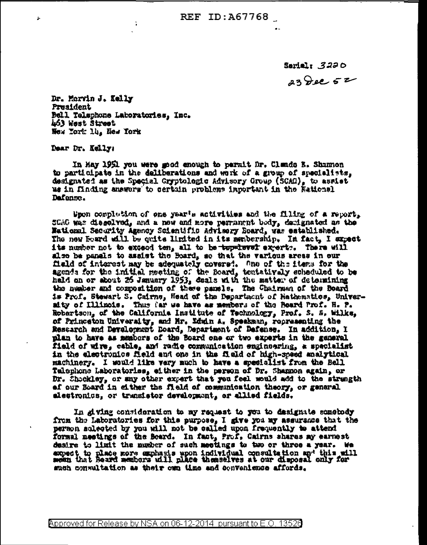Sarial:  $3220$  $23$  dec  $52$ 

Dr. Morvin J. Kelly President Bell Telephone Laboratories, Inc. 463 West Street New York lip, New York

Dear Dr. Kelly:

ż,

In May 1951 you were good enough to permit Dr. Clauds B. Shannon to participate in the deliberations and work of a group of specialists. designated as the Special Gryptologic Advisory Group (SCAG), to assist us in finding answorm to certain problems important in the Fationsl Dafansc.

Spon completion of one year's activities and the filing of a report, SCAG was diagolyod, and a new and more remanget body, decignated as the National Security Agency Scientific Advisory Board, was established. The new Hoard will be quite limited in its membership. In fact, I expect its number not to exceed ten, all to be tep-level expert:. There will also be panals to assist the Board, so that the various areas in our Held of interest may be adequately covered. One of the items for the agenda for the initial meeting of the Board, tentativaly scheduled to be held on or shout 26 January 1953, deals with the matter of determining the number and composition of these panels. The Chairman of the Board is Prof. Stewart S. Cairns, Head of the Department of Hathematics, Univeraity of Illinois. Thus far we have as members of the Board Prof. H. P. Robertson, of the California Institute of Technology, Prof. S. S. Wilks, of Princeton University, and Mr. Yduin A. Speekman, representing the Restarch and Development Board, Department of Defense. In addition, I plan to have as members of the Board one or two experts in the general field of wire, cable, and radio communication engineering, a specialist in the electronics field and one in the field of high-speed analytical machinery. I would like very much to have a specialist from the Bell Talephone Laboratories, either in the person of Dr. Shannon again, or Dr. Shockley, or any other expert that you feel would add to the strangth of our Board in cither the field of communication theory, or general slectronics, or transletor development, or ellied fields,

In giving consideration to my request to you to designate samebody from the Laboratories for this purpose, I give you my assurance that the person scleoted by you will not be called upon frequently to attend formal meetings of the Board. In fact, Prof, Cairns shares my earnest desire to limit the number of such meetings to two or three a year. We expect to place more exphasis upon individual consultation and this will mean that Board members will place themselves at our disposal only for such consultation as their own time and convenience affords.